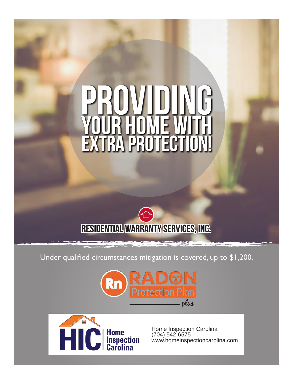# TRA PROTECT EX.



Under qualified circumstances mitigation is covered, up to \$1,200.





Home Inspection Carolina (704) 542-6575 www.homeinspectioncarolina.com